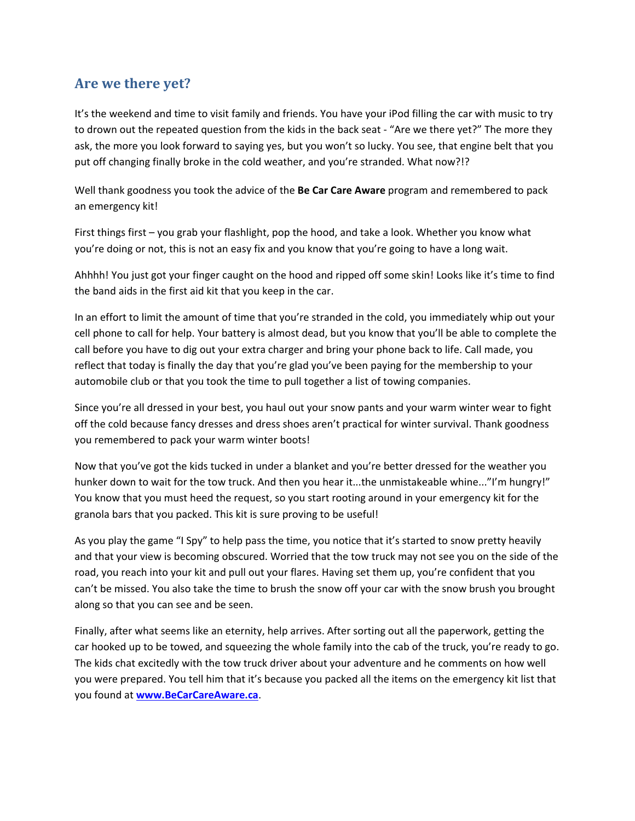## **Are we there yet?**

It's the weekend and time to visit family and friends. You have your iPod filling the car with music to try to drown out the repeated question from the kids in the back seat - "Are we there yet?" The more they ask, the more you look forward to saying yes, but you won't so lucky. You see, that engine belt that you put off changing finally broke in the cold weather, and you're stranded. What now?!?

Well thank goodness you took the advice of the **Be Car Care Aware** program and remembered to pack an emergency kit!

First things first – you grab your flashlight, pop the hood, and take a look. Whether you know what you're doing or not, this is not an easy fix and you know that you're going to have a long wait.

Ahhhh! You just got your finger caught on the hood and ripped off some skin! Looks like it's time to find the band aids in the first aid kit that you keep in the car.

In an effort to limit the amount of time that you're stranded in the cold, you immediately whip out your cell phone to call for help. Your battery is almost dead, but you know that you'll be able to complete the call before you have to dig out your extra charger and bring your phone back to life. Call made, you reflect that today is finally the day that you're glad you've been paying for the membership to your automobile club or that you took the time to pull together a list of towing companies.

Since you're all dressed in your best, you haul out your snow pants and your warm winter wear to fight off the cold because fancy dresses and dress shoes aren't practical for winter survival. Thank goodness you remembered to pack your warm winter boots!

Now that you've got the kids tucked in under a blanket and you're better dressed for the weather you hunker down to wait for the tow truck. And then you hear it...the unmistakeable whine..."I'm hungry!" You know that you must heed the request, so you start rooting around in your emergency kit for the granola bars that you packed. This kit is sure proving to be useful!

As you play the game "I Spy" to help pass the time, you notice that it's started to snow pretty heavily and that your view is becoming obscured. Worried that the tow truck may not see you on the side of the road, you reach into your kit and pull out your flares. Having set them up, you're confident that you can't be missed. You also take the time to brush the snow off your car with the snow brush you brought along so that you can see and be seen.

Finally, after what seems like an eternity, help arrives. After sorting out all the paperwork, getting the car hooked up to be towed, and squeezing the whole family into the cab of the truck, you're ready to go. The kids chat excitedly with the tow truck driver about your adventure and he comments on how well you were prepared. You tell him that it's because you packed all the items on the emergency kit list that you found at **www.BeCarCareAware.ca**.